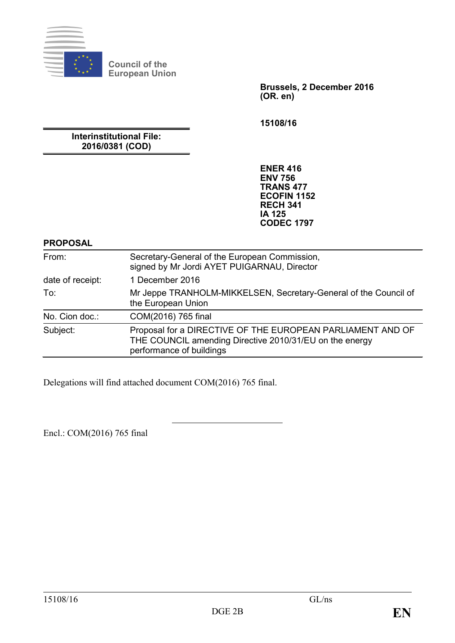

**Council of the European Union**

> **Brussels, 2 December 2016 (OR. en)**

**15108/16**

**Interinstitutional File: 2016/0381 (COD)**

> **ENER 416 ENV 756 TRANS 477 ECOFIN 1152 RECH 341 IA 125 CODEC 1797**

#### **PROPOSAL**

| From:            | Secretary-General of the European Commission,<br>signed by Mr Jordi AYET PUIGARNAU, Director                                                      |
|------------------|---------------------------------------------------------------------------------------------------------------------------------------------------|
| date of receipt: | 1 December 2016                                                                                                                                   |
| To:              | Mr Jeppe TRANHOLM-MIKKELSEN, Secretary-General of the Council of<br>the European Union                                                            |
| No. Cion doc.:   | COM(2016) 765 final                                                                                                                               |
| Subject:         | Proposal for a DIRECTIVE OF THE EUROPEAN PARLIAMENT AND OF<br>THE COUNCIL amending Directive 2010/31/EU on the energy<br>performance of buildings |

Delegations will find attached document COM(2016) 765 final.

Encl.: COM(2016) 765 final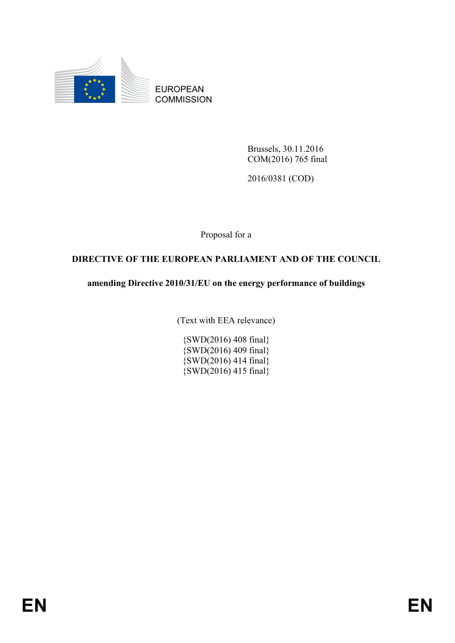

EUROPEAN **COMMISSION** 

> Brussels, 30.11.2016 COM(2016) 765 final

2016/0381 (COD)

Proposal for a

# **DIRECTIVE OF THE EUROPEAN PARLIAMENT AND OF THE COUNCIL**

# **amending Directive 2010/31/EU on the energy performance of buildings**

(Text with EEA relevance)

{SWD(2016) 408 final} {SWD(2016) 409 final} {SWD(2016) 414 final} {SWD(2016) 415 final}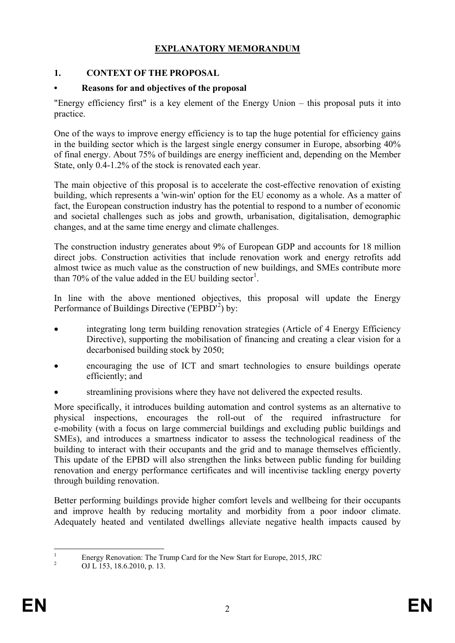# **EXPLANATORY MEMORANDUM**

# **1. CONTEXT OF THE PROPOSAL**

# **• Reasons for and objectives of the proposal**

"Energy efficiency first" is a key element of the Energy Union – this proposal puts it into practice.

One of the ways to improve energy efficiency is to tap the huge potential for efficiency gains in the building sector which is the largest single energy consumer in Europe, absorbing 40% of final energy. About 75% of buildings are energy inefficient and, depending on the Member State, only 0.4-1.2% of the stock is renovated each year.

The main objective of this proposal is to accelerate the cost-effective renovation of existing building, which represents a 'win-win' option for the EU economy as a whole. As a matter of fact, the European construction industry has the potential to respond to a number of economic and societal challenges such as jobs and growth, urbanisation, digitalisation, demographic changes, and at the same time energy and climate challenges.

The construction industry generates about 9% of European GDP and accounts for 18 million direct jobs. Construction activities that include renovation work and energy retrofits add almost twice as much value as the construction of new buildings, and SMEs contribute more than 70% of the value added in the EU building sector<sup>[1](#page-2-0)</sup>.

In line with the above mentioned objectives, this proposal will update the Energy Performance of Buildings Directive ('EPBD'<sup>[2](#page-2-1)</sup>) by:

- integrating long term building renovation strategies (Article of 4 Energy Efficiency Directive), supporting the mobilisation of financing and creating a clear vision for a decarbonised building stock by 2050;
- encouraging the use of ICT and smart technologies to ensure buildings operate efficiently; and
- streamlining provisions where they have not delivered the expected results.

More specifically, it introduces building automation and control systems as an alternative to physical inspections, encourages the roll-out of the required infrastructure for e-mobility (with a focus on large commercial buildings and excluding public buildings and SMEs), and introduces a smartness indicator to assess the technological readiness of the building to interact with their occupants and the grid and to manage themselves efficiently. This update of the EPBD will also strengthen the links between public funding for building renovation and energy performance certificates and will incentivise tackling energy poverty through building renovation.

Better performing buildings provide higher comfort levels and wellbeing for their occupants and improve health by reducing mortality and morbidity from a poor indoor climate. Adequately heated and ventilated dwellings alleviate negative health impacts caused by

<span id="page-2-1"></span><span id="page-2-0"></span><sup>&</sup>lt;sup>1</sup> Energy Renovation: The Trump Card for the New Start for Europe, 2015, JRC OJ L 153, 18.6.2010, p. 13.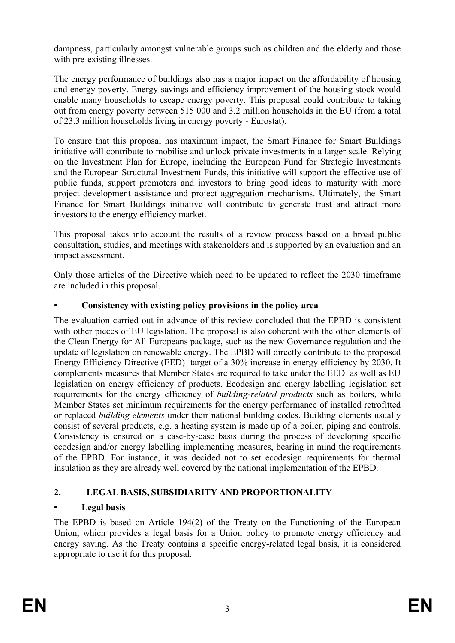dampness, particularly amongst vulnerable groups such as children and the elderly and those with pre-existing illnesses.

The energy performance of buildings also has a major impact on the affordability of housing and energy poverty. Energy savings and efficiency improvement of the housing stock would enable many households to escape energy poverty. This proposal could contribute to taking out from energy poverty between 515 000 and 3.2 million households in the EU (from a total of 23.3 million households living in energy poverty - Eurostat).

To ensure that this proposal has maximum impact, the Smart Finance for Smart Buildings initiative will contribute to mobilise and unlock private investments in a larger scale. Relying on the Investment Plan for Europe, including the European Fund for Strategic Investments and the European Structural Investment Funds, this initiative will support the effective use of public funds, support promoters and investors to bring good ideas to maturity with more project development assistance and project aggregation mechanisms. Ultimately, the Smart Finance for Smart Buildings initiative will contribute to generate trust and attract more investors to the energy efficiency market.

This proposal takes into account the results of a review process based on a broad public consultation, studies, and meetings with stakeholders and is supported by an evaluation and an impact assessment.

Only those articles of the Directive which need to be updated to reflect the 2030 timeframe are included in this proposal.

# **• Consistency with existing policy provisions in the policy area**

The evaluation carried out in advance of this review concluded that the EPBD is consistent with other pieces of EU legislation. The proposal is also coherent with the other elements of the Clean Energy for All Europeans package, such as the new Governance regulation and the update of legislation on renewable energy. The EPBD will directly contribute to the proposed Energy Efficiency Directive (EED) target of a 30% increase in energy efficiency by 2030. It complements measures that Member States are required to take under the EED as well as EU legislation on energy efficiency of products. Ecodesign and energy labelling legislation set requirements for the energy efficiency of *building-related products* such as boilers, while Member States set minimum requirements for the energy performance of installed retrofitted or replaced *building elements* under their national building codes. Building elements usually consist of several products, e.g. a heating system is made up of a boiler, piping and controls. Consistency is ensured on a case-by-case basis during the process of developing specific ecodesign and/or energy labelling implementing measures, bearing in mind the requirements of the EPBD. For instance, it was decided not to set ecodesign requirements for thermal insulation as they are already well covered by the national implementation of the EPBD.

# **2. LEGAL BASIS, SUBSIDIARITY AND PROPORTIONALITY**

# **• Legal basis**

The EPBD is based on Article 194(2) of the Treaty on the Functioning of the European Union, which provides a legal basis for a Union policy to promote energy efficiency and energy saving. As the Treaty contains a specific energy-related legal basis, it is considered appropriate to use it for this proposal.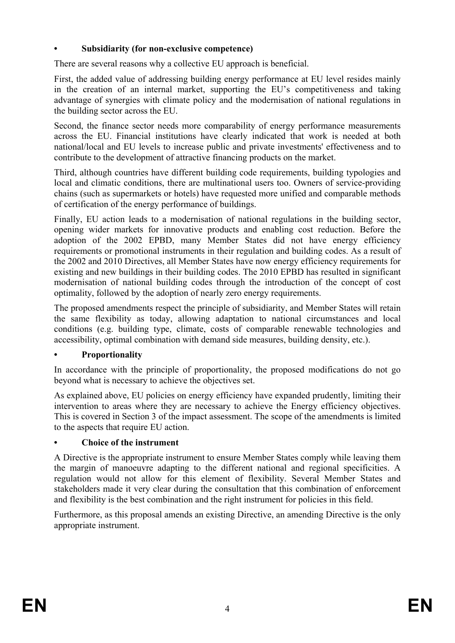# **• Subsidiarity (for non-exclusive competence)**

There are several reasons why a collective EU approach is beneficial.

First, the added value of addressing building energy performance at EU level resides mainly in the creation of an internal market, supporting the EU's competitiveness and taking advantage of synergies with climate policy and the modernisation of national regulations in the building sector across the EU.

Second, the finance sector needs more comparability of energy performance measurements across the EU. Financial institutions have clearly indicated that work is needed at both national/local and EU levels to increase public and private investments' effectiveness and to contribute to the development of attractive financing products on the market.

Third, although countries have different building code requirements, building typologies and local and climatic conditions, there are multinational users too. Owners of service-providing chains (such as supermarkets or hotels) have requested more unified and comparable methods of certification of the energy performance of buildings.

Finally, EU action leads to a modernisation of national regulations in the building sector, opening wider markets for innovative products and enabling cost reduction. Before the adoption of the 2002 EPBD, many Member States did not have energy efficiency requirements or promotional instruments in their regulation and building codes. As a result of the 2002 and 2010 Directives, all Member States have now energy efficiency requirements for existing and new buildings in their building codes. The 2010 EPBD has resulted in significant modernisation of national building codes through the introduction of the concept of cost optimality, followed by the adoption of nearly zero energy requirements.

The proposed amendments respect the principle of subsidiarity, and Member States will retain the same flexibility as today, allowing adaptation to national circumstances and local conditions (e.g. building type, climate, costs of comparable renewable technologies and accessibility, optimal combination with demand side measures, building density, etc.).

# **• Proportionality**

In accordance with the principle of proportionality, the proposed modifications do not go beyond what is necessary to achieve the objectives set.

As explained above, EU policies on energy efficiency have expanded prudently, limiting their intervention to areas where they are necessary to achieve the Energy efficiency objectives. This is covered in Section 3 of the impact assessment. The scope of the amendments is limited to the aspects that require EU action.

# **• Choice of the instrument**

A Directive is the appropriate instrument to ensure Member States comply while leaving them the margin of manoeuvre adapting to the different national and regional specificities. A regulation would not allow for this element of flexibility. Several Member States and stakeholders made it very clear during the consultation that this combination of enforcement and flexibility is the best combination and the right instrument for policies in this field.

Furthermore, as this proposal amends an existing Directive, an amending Directive is the only appropriate instrument.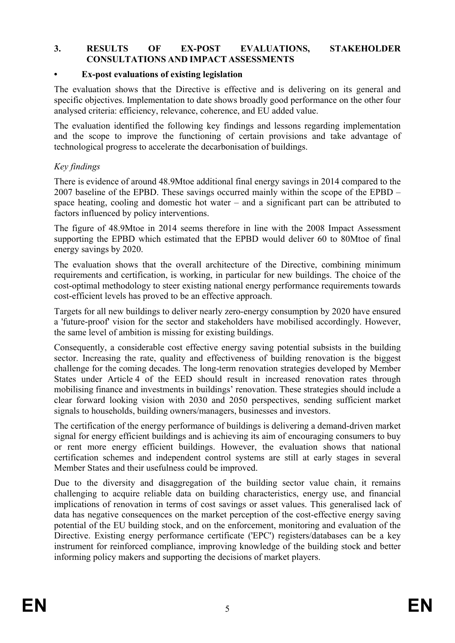#### **3. RESULTS OF EX-POST EVALUATIONS, STAKEHOLDER CONSULTATIONS AND IMPACT ASSESSMENTS**

# **• Ex-post evaluations of existing legislation**

The evaluation shows that the Directive is effective and is delivering on its general and specific objectives. Implementation to date shows broadly good performance on the other four analysed criteria: efficiency, relevance, coherence, and EU added value.

The evaluation identified the following key findings and lessons regarding implementation and the scope to improve the functioning of certain provisions and take advantage of technological progress to accelerate the decarbonisation of buildings.

# *Key findings*

There is evidence of around 48.9Mtoe additional final energy savings in 2014 compared to the 2007 baseline of the EPBD. These savings occurred mainly within the scope of the EPBD – space heating, cooling and domestic hot water – and a significant part can be attributed to factors influenced by policy interventions.

The figure of 48.9Mtoe in 2014 seems therefore in line with the 2008 Impact Assessment supporting the EPBD which estimated that the EPBD would deliver 60 to 80Mtoe of final energy savings by 2020.

The evaluation shows that the overall architecture of the Directive, combining minimum requirements and certification, is working, in particular for new buildings. The choice of the cost-optimal methodology to steer existing national energy performance requirements towards cost-efficient levels has proved to be an effective approach.

Targets for all new buildings to deliver nearly zero-energy consumption by 2020 have ensured a 'future-proof' vision for the sector and stakeholders have mobilised accordingly. However, the same level of ambition is missing for existing buildings.

Consequently, a considerable cost effective energy saving potential subsists in the building sector. Increasing the rate, quality and effectiveness of building renovation is the biggest challenge for the coming decades. The long-term renovation strategies developed by Member States under Article 4 of the EED should result in increased renovation rates through mobilising finance and investments in buildings' renovation. These strategies should include a clear forward looking vision with 2030 and 2050 perspectives, sending sufficient market signals to households, building owners/managers, businesses and investors.

The certification of the energy performance of buildings is delivering a demand-driven market signal for energy efficient buildings and is achieving its aim of encouraging consumers to buy or rent more energy efficient buildings. However, the evaluation shows that national certification schemes and independent control systems are still at early stages in several Member States and their usefulness could be improved.

Due to the diversity and disaggregation of the building sector value chain, it remains challenging to acquire reliable data on building characteristics, energy use, and financial implications of renovation in terms of cost savings or asset values. This generalised lack of data has negative consequences on the market perception of the cost-effective energy saving potential of the EU building stock, and on the enforcement, monitoring and evaluation of the Directive. Existing energy performance certificate ('EPC') registers/databases can be a key instrument for reinforced compliance, improving knowledge of the building stock and better informing policy makers and supporting the decisions of market players.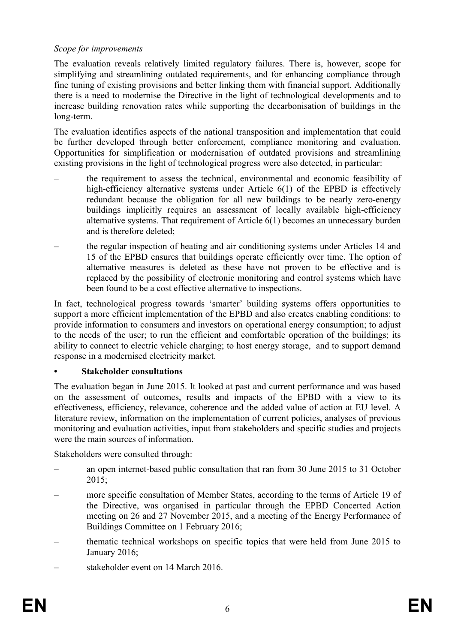### *Scope for improvements*

The evaluation reveals relatively limited regulatory failures. There is, however, scope for simplifying and streamlining outdated requirements, and for enhancing compliance through fine tuning of existing provisions and better linking them with financial support. Additionally there is a need to modernise the Directive in the light of technological developments and to increase building renovation rates while supporting the decarbonisation of buildings in the long-term.

The evaluation identifies aspects of the national transposition and implementation that could be further developed through better enforcement, compliance monitoring and evaluation. Opportunities for simplification or modernisation of outdated provisions and streamlining existing provisions in the light of technological progress were also detected, in particular:

- the requirement to assess the technical, environmental and economic feasibility of high-efficiency alternative systems under Article 6(1) of the EPBD is effectively redundant because the obligation for all new buildings to be nearly zero-energy buildings implicitly requires an assessment of locally available high-efficiency alternative systems. That requirement of Article 6(1) becomes an unnecessary burden and is therefore deleted;
- the regular inspection of heating and air conditioning systems under Articles 14 and 15 of the EPBD ensures that buildings operate efficiently over time. The option of alternative measures is deleted as these have not proven to be effective and is replaced by the possibility of electronic monitoring and control systems which have been found to be a cost effective alternative to inspections.

In fact, technological progress towards 'smarter' building systems offers opportunities to support a more efficient implementation of the EPBD and also creates enabling conditions: to provide information to consumers and investors on operational energy consumption; to adjust to the needs of the user; to run the efficient and comfortable operation of the buildings; its ability to connect to electric vehicle charging; to host energy storage, and to support demand response in a modernised electricity market.

# **• Stakeholder consultations**

The evaluation began in June 2015. It looked at past and current performance and was based on the assessment of outcomes, results and impacts of the EPBD with a view to its effectiveness, efficiency, relevance, coherence and the added value of action at EU level. A literature review, information on the implementation of current policies, analyses of previous monitoring and evaluation activities, input from stakeholders and specific studies and projects were the main sources of information.

Stakeholders were consulted through:

- an open internet-based public consultation that ran from 30 June 2015 to 31 October 2015;
- more specific consultation of Member States, according to the terms of Article 19 of the Directive, was organised in particular through the EPBD Concerted Action meeting on 26 and 27 November 2015, and a meeting of the Energy Performance of Buildings Committee on 1 February 2016;
- thematic technical workshops on specific topics that were held from June 2015 to January 2016;
- stakeholder event on 14 March 2016.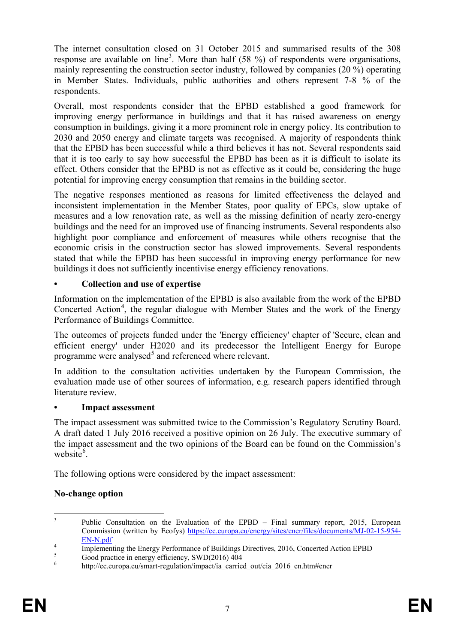The internet consultation closed on 31 October 2015 and summarised results of the 308 response are available on line<sup>[3](#page-7-0)</sup>. More than half (58 %) of respondents were organisations, mainly representing the construction sector industry, followed by companies (20 %) operating in Member States. Individuals, public authorities and others represent 7-8 % of the respondents.

Overall, most respondents consider that the EPBD established a good framework for improving energy performance in buildings and that it has raised awareness on energy consumption in buildings, giving it a more prominent role in energy policy. Its contribution to 2030 and 2050 energy and climate targets was recognised. A majority of respondents think that the EPBD has been successful while a third believes it has not. Several respondents said that it is too early to say how successful the EPBD has been as it is difficult to isolate its effect. Others consider that the EPBD is not as effective as it could be, considering the huge potential for improving energy consumption that remains in the building sector.

The negative responses mentioned as reasons for limited effectiveness the delayed and inconsistent implementation in the Member States, poor quality of EPCs, slow uptake of measures and a low renovation rate, as well as the missing definition of nearly zero-energy buildings and the need for an improved use of financing instruments. Several respondents also highlight poor compliance and enforcement of measures while others recognise that the economic crisis in the construction sector has slowed improvements. Several respondents stated that while the EPBD has been successful in improving energy performance for new buildings it does not sufficiently incentivise energy efficiency renovations.

# **• Collection and use of expertise**

Information on the implementation of the EPBD is also available from the work of the EPBD Concerted Action<sup>[4](#page-7-1)</sup>, the regular dialogue with Member States and the work of the Energy Performance of Buildings Committee.

The outcomes of projects funded under the 'Energy efficiency' chapter of 'Secure, clean and efficient energy' under H2020 and its predecessor the Intelligent Energy for Europe programme were analysed $5$  and referenced where relevant.

In addition to the consultation activities undertaken by the European Commission, the evaluation made use of other sources of information, e.g. research papers identified through literature review.

# **• Impact assessment**

The impact assessment was submitted twice to the Commission's Regulatory Scrutiny Board. A draft dated 1 July 2016 received a positive opinion on 26 July. The executive summary of the impact assessment and the two opinions of the Board can be found on the Commission's website<sup>[6](#page-7-3)</sup>.

The following options were considered by the impact assessment:

# **No-change option**

<span id="page-7-0"></span><sup>&</sup>lt;sup>3</sup> Public Consultation on the Evaluation of the EPBD – Final summary report, 2015, European Commission (written by Ecofys) [https://ec.europa.eu/energy/sites/ener/files/documents/MJ-02-15-954-](https://ec.europa.eu/energy/sites/ener/files/documents/MJ-02-15-954-EN-N.pdf)

<span id="page-7-1"></span><sup>&</sup>lt;sup>4</sup><br>
Implementing the Energy Performance of Buildings Directives, 2016, Concerted Action EPBD<br>
<sup>5</sup><br>
Good practice in energy efficiency, SWD(2016) 404<br>
http://ec.europa.eu/smart-regulation/impact/ia carried out/cia 2016 en

<span id="page-7-3"></span><span id="page-7-2"></span>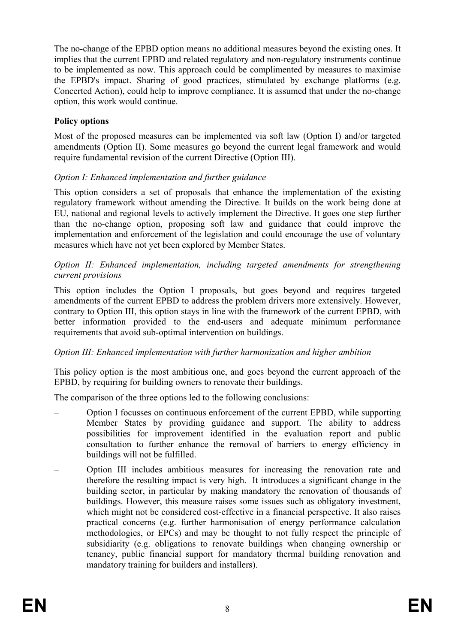The no-change of the EPBD option means no additional measures beyond the existing ones. It implies that the current EPBD and related regulatory and non-regulatory instruments continue to be implemented as now. This approach could be complimented by measures to maximise the EPBD's impact. Sharing of good practices, stimulated by exchange platforms (e.g. Concerted Action), could help to improve compliance. It is assumed that under the no-change option, this work would continue.

# **Policy options**

Most of the proposed measures can be implemented via soft law (Option I) and/or targeted amendments (Option II). Some measures go beyond the current legal framework and would require fundamental revision of the current Directive (Option III).

# *Option I: Enhanced implementation and further guidance*

This option considers a set of proposals that enhance the implementation of the existing regulatory framework without amending the Directive. It builds on the work being done at EU, national and regional levels to actively implement the Directive. It goes one step further than the no-change option, proposing soft law and guidance that could improve the implementation and enforcement of the legislation and could encourage the use of voluntary measures which have not yet been explored by Member States.

### *Option II: Enhanced implementation, including targeted amendments for strengthening current provisions*

This option includes the Option I proposals, but goes beyond and requires targeted amendments of the current EPBD to address the problem drivers more extensively. However, contrary to Option III, this option stays in line with the framework of the current EPBD, with better information provided to the end-users and adequate minimum performance requirements that avoid sub-optimal intervention on buildings.

# *Option III: Enhanced implementation with further harmonization and higher ambition*

This policy option is the most ambitious one, and goes beyond the current approach of the EPBD, by requiring for building owners to renovate their buildings.

The comparison of the three options led to the following conclusions:

- Option I focusses on continuous enforcement of the current EPBD, while supporting Member States by providing guidance and support. The ability to address possibilities for improvement identified in the evaluation report and public consultation to further enhance the removal of barriers to energy efficiency in buildings will not be fulfilled.
- Option III includes ambitious measures for increasing the renovation rate and therefore the resulting impact is very high. It introduces a significant change in the building sector, in particular by making mandatory the renovation of thousands of buildings. However, this measure raises some issues such as obligatory investment, which might not be considered cost-effective in a financial perspective. It also raises practical concerns (e.g. further harmonisation of energy performance calculation methodologies, or EPCs) and may be thought to not fully respect the principle of subsidiarity (e.g. obligations to renovate buildings when changing ownership or tenancy, public financial support for mandatory thermal building renovation and mandatory training for builders and installers).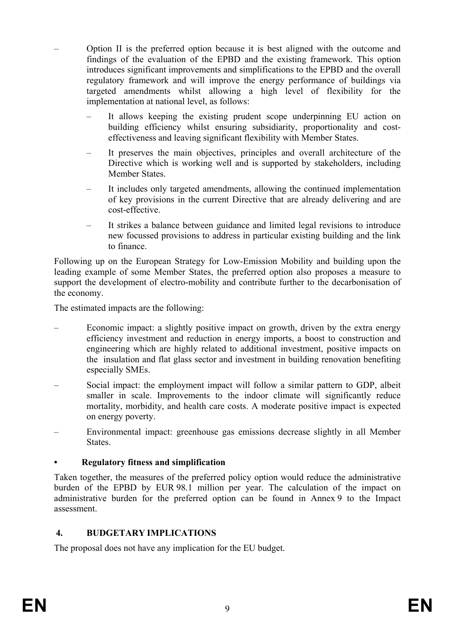- Option II is the preferred option because it is best aligned with the outcome and findings of the evaluation of the EPBD and the existing framework. This option introduces significant improvements and simplifications to the EPBD and the overall regulatory framework and will improve the energy performance of buildings via targeted amendments whilst allowing a high level of flexibility for the implementation at national level, as follows:
	- It allows keeping the existing prudent scope underpinning EU action on building efficiency whilst ensuring subsidiarity, proportionality and costeffectiveness and leaving significant flexibility with Member States.
	- It preserves the main objectives, principles and overall architecture of the Directive which is working well and is supported by stakeholders, including Member States.
	- It includes only targeted amendments, allowing the continued implementation of key provisions in the current Directive that are already delivering and are cost-effective.
	- It strikes a balance between guidance and limited legal revisions to introduce new focussed provisions to address in particular existing building and the link to finance.

Following up on the European Strategy for Low-Emission Mobility and building upon the leading example of some Member States, the preferred option also proposes a measure to support the development of electro-mobility and contribute further to the decarbonisation of the economy.

The estimated impacts are the following:

- Economic impact: a slightly positive impact on growth, driven by the extra energy efficiency investment and reduction in energy imports, a boost to construction and engineering which are highly related to additional investment, positive impacts on the insulation and flat glass sector and investment in building renovation benefiting especially SMEs.
- Social impact: the employment impact will follow a similar pattern to GDP, albeit smaller in scale. Improvements to the indoor climate will significantly reduce mortality, morbidity, and health care costs. A moderate positive impact is expected on energy poverty.
- Environmental impact: greenhouse gas emissions decrease slightly in all Member **States**.

# **• Regulatory fitness and simplification**

Taken together, the measures of the preferred policy option would reduce the administrative burden of the EPBD by EUR 98.1 million per year. The calculation of the impact on administrative burden for the preferred option can be found in Annex 9 to the Impact assessment.

# **4. BUDGETARY IMPLICATIONS**

The proposal does not have any implication for the EU budget.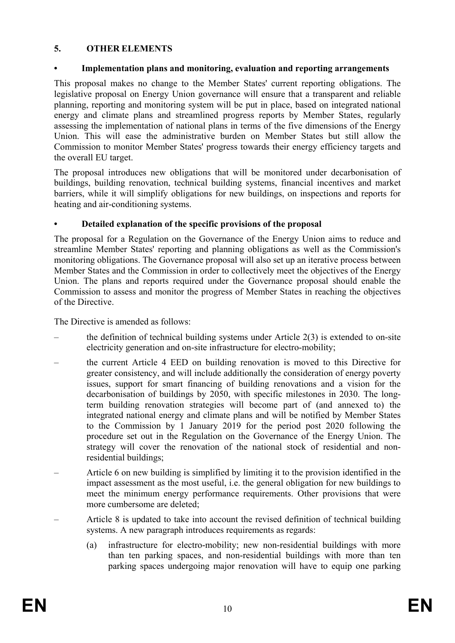# **5. OTHER ELEMENTS**

# **• Implementation plans and monitoring, evaluation and reporting arrangements**

This proposal makes no change to the Member States' current reporting obligations. The legislative proposal on Energy Union governance will ensure that a transparent and reliable planning, reporting and monitoring system will be put in place, based on integrated national energy and climate plans and streamlined progress reports by Member States, regularly assessing the implementation of national plans in terms of the five dimensions of the Energy Union. This will ease the administrative burden on Member States but still allow the Commission to monitor Member States' progress towards their energy efficiency targets and the overall EU target.

The proposal introduces new obligations that will be monitored under decarbonisation of buildings, building renovation, technical building systems, financial incentives and market barriers, while it will simplify obligations for new buildings, on inspections and reports for heating and air-conditioning systems.

# **• Detailed explanation of the specific provisions of the proposal**

The proposal for a Regulation on the Governance of the Energy Union aims to reduce and streamline Member States' reporting and planning obligations as well as the Commission's monitoring obligations. The Governance proposal will also set up an iterative process between Member States and the Commission in order to collectively meet the objectives of the Energy Union. The plans and reports required under the Governance proposal should enable the Commission to assess and monitor the progress of Member States in reaching the objectives of the Directive.

The Directive is amended as follows:

- the definition of technical building systems under Article  $2(3)$  is extended to on-site electricity generation and on-site infrastructure for electro-mobility;
- the current Article 4 EED on building renovation is moved to this Directive for greater consistency, and will include additionally the consideration of energy poverty issues, support for smart financing of building renovations and a vision for the decarbonisation of buildings by 2050, with specific milestones in 2030. The longterm building renovation strategies will become part of (and annexed to) the integrated national energy and climate plans and will be notified by Member States to the Commission by 1 January 2019 for the period post 2020 following the procedure set out in the Regulation on the Governance of the Energy Union. The strategy will cover the renovation of the national stock of residential and nonresidential buildings;
- Article 6 on new building is simplified by limiting it to the provision identified in the impact assessment as the most useful, i.e. the general obligation for new buildings to meet the minimum energy performance requirements. Other provisions that were more cumbersome are deleted;
- Article 8 is updated to take into account the revised definition of technical building systems. A new paragraph introduces requirements as regards:
	- (a) infrastructure for electro-mobility; new non-residential buildings with more than ten parking spaces, and non-residential buildings with more than ten parking spaces undergoing major renovation will have to equip one parking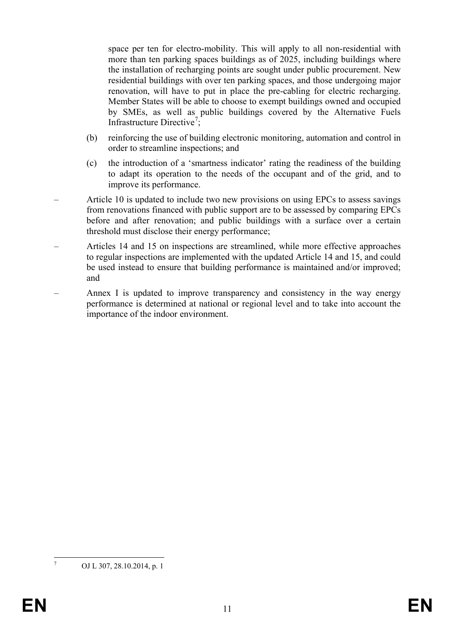space per ten for electro-mobility. This will apply to all non-residential with more than ten parking spaces buildings as of 2025, including buildings where the installation of recharging points are sought under public procurement. New residential buildings with over ten parking spaces, and those undergoing major renovation, will have to put in place the pre-cabling for electric recharging. Member States will be able to choose to exempt buildings owned and occupied by SMEs, as well as public buildings covered by the Alternative Fuels Infrastructure Directive<sup>[7](#page-11-0)</sup>;

- (b) reinforcing the use of building electronic monitoring, automation and control in order to streamline inspections; and
- (c) the introduction of a 'smartness indicator' rating the readiness of the building to adapt its operation to the needs of the occupant and of the grid, and to improve its performance.
- Article 10 is updated to include two new provisions on using EPCs to assess savings from renovations financed with public support are to be assessed by comparing EPCs before and after renovation; and public buildings with a surface over a certain threshold must disclose their energy performance;
- Articles 14 and 15 on inspections are streamlined, while more effective approaches to regular inspections are implemented with the updated Article 14 and 15, and could be used instead to ensure that building performance is maintained and/or improved; and
- Annex I is updated to improve transparency and consistency in the way energy performance is determined at national or regional level and to take into account the importance of the indoor environment.

<span id="page-11-0"></span>OJ L 307, 28.10.2014, p. 1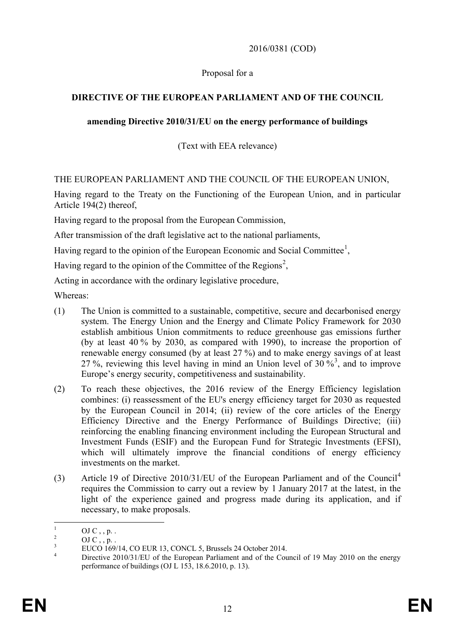# 2016/0381 (COD)

# Proposal for a

# **DIRECTIVE OF THE EUROPEAN PARLIAMENT AND OF THE COUNCIL**

# **amending Directive 2010/31/EU on the energy performance of buildings**

# (Text with EEA relevance)

THE EUROPEAN PARLIAMENT AND THE COUNCIL OF THE EUROPEAN UNION,

Having regard to the Treaty on the Functioning of the European Union, and in particular Article 194(2) thereof,

Having regard to the proposal from the European Commission,

After transmission of the draft legislative act to the national parliaments,

Having regard to the opinion of the European Economic and Social Committee<sup>[1](#page-12-0)</sup>,

Having regard to the opinion of the Committee of the Regions<sup>[2](#page-12-1)</sup>,

Acting in accordance with the ordinary legislative procedure,

Whereas:

- (1) The Union is committed to a sustainable, competitive, secure and decarbonised energy system. The Energy Union and the Energy and Climate Policy Framework for 2030 establish ambitious Union commitments to reduce greenhouse gas emissions further (by at least 40 % by 2030, as compared with 1990), to increase the proportion of renewable energy consumed (by at least 27 %) and to make energy savings of at least 27%, reviewing this level having in mind an Union level of  $30\%$  $30\%$ <sup>3</sup>, and to improve Europe's energy security, competitiveness and sustainability.
- (2) To reach these objectives, the 2016 review of the Energy Efficiency legislation combines: (i) reassessment of the EU's energy efficiency target for 2030 as requested by the European Council in 2014; (ii) review of the core articles of the Energy Efficiency Directive and the Energy Performance of Buildings Directive; (iii) reinforcing the enabling financing environment including the European Structural and Investment Funds (ESIF) and the European Fund for Strategic Investments (EFSI), which will ultimately improve the financial conditions of energy efficiency investments on the market.
- (3) Article 19 of Directive 2010/31/EU of the European Parliament and of the Council[4](#page-12-3) requires the Commission to carry out a review by 1 January 2017 at the latest, in the light of the experience gained and progress made during its application, and if necessary, to make proposals.

<span id="page-12-3"></span><span id="page-12-2"></span><span id="page-12-1"></span>

<span id="page-12-0"></span><sup>&</sup>lt;sup>1</sup> OJ C , , p. .<br><sup>2</sup> OJ C , , p. .<br><sup>3</sup> EUCO 169/14, CO EUR 13, CONCL 5, Brussels 24 October 2014.<br><sup>4</sup> Directive 2010/31/EU of the European Parliament and of the Council of 19 May 2010 on the energy performance of buildings (OJ L 153, 18.6.2010, p. 13).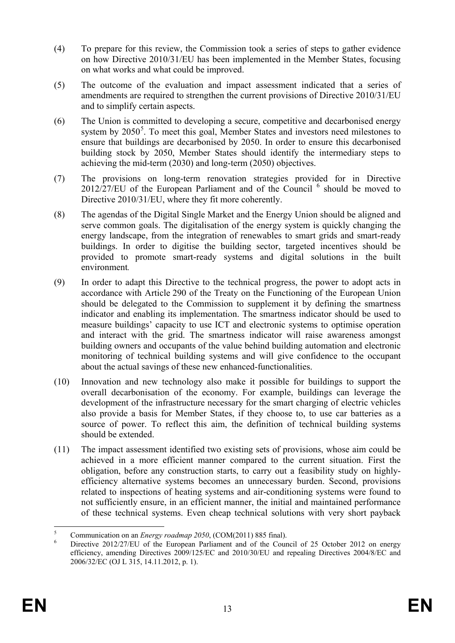- (4) To prepare for this review, the Commission took a series of steps to gather evidence on how Directive 2010/31/EU has been implemented in the Member States, focusing on what works and what could be improved.
- (5) The outcome of the evaluation and impact assessment indicated that a series of amendments are required to strengthen the current provisions of Directive 2010/31/EU and to simplify certain aspects.
- (6) The Union is committed to developing a secure, competitive and decarbonised energy system by 20[5](#page-13-0)0<sup>5</sup>. To meet this goal, Member States and investors need milestones to ensure that buildings are decarbonised by 2050. In order to ensure this decarbonised building stock by 2050, Member States should identify the intermediary steps to achieving the mid-term (2030) and long-term (2050) objectives.
- (7) The provisions on long-term renovation strategies provided for in Directive  $2012/\overline{27/EU}$  of the European Parliament and of the Council  $<sup>6</sup>$  $<sup>6</sup>$  $<sup>6</sup>$  should be moved to</sup> Directive 2010/31/EU, where they fit more coherently.
- (8) The agendas of the Digital Single Market and the Energy Union should be aligned and serve common goals. The digitalisation of the energy system is quickly changing the energy landscape, from the integration of renewables to smart grids and smart-ready buildings. In order to digitise the building sector, targeted incentives should be provided to promote smart-ready systems and digital solutions in the built environment*.*
- (9) In order to adapt this Directive to the technical progress, the power to adopt acts in accordance with Article 290 of the Treaty on the Functioning of the European Union should be delegated to the Commission to supplement it by defining the smartness indicator and enabling its implementation. The smartness indicator should be used to measure buildings' capacity to use ICT and electronic systems to optimise operation and interact with the grid. The smartness indicator will raise awareness amongst building owners and occupants of the value behind building automation and electronic monitoring of technical building systems and will give confidence to the occupant about the actual savings of these new enhanced-functionalities.
- (10) Innovation and new technology also make it possible for buildings to support the overall decarbonisation of the economy. For example, buildings can leverage the development of the infrastructure necessary for the smart charging of electric vehicles also provide a basis for Member States, if they choose to, to use car batteries as a source of power. To reflect this aim, the definition of technical building systems should be extended.
- (11) The impact assessment identified two existing sets of provisions, whose aim could be achieved in a more efficient manner compared to the current situation. First the obligation, before any construction starts, to carry out a feasibility study on highlyefficiency alternative systems becomes an unnecessary burden. Second, provisions related to inspections of heating systems and air-conditioning systems were found to not sufficiently ensure, in an efficient manner, the initial and maintained performance of these technical systems. Even cheap technical solutions with very short payback

<span id="page-13-1"></span>

<span id="page-13-0"></span><sup>&</sup>lt;sup>5</sup> Communication on an *Energy roadmap 2050*, (COM(2011) 885 final).<br><sup>6</sup> Directive 2012/27/EU of the European Parliament and of the Council of 25 October 2012 on energy efficiency, amending Directives 2009/125/EC and 2010/30/EU and repealing Directives 2004/8/EC and 2006/32/EC (OJ L 315, 14.11.2012, p. 1).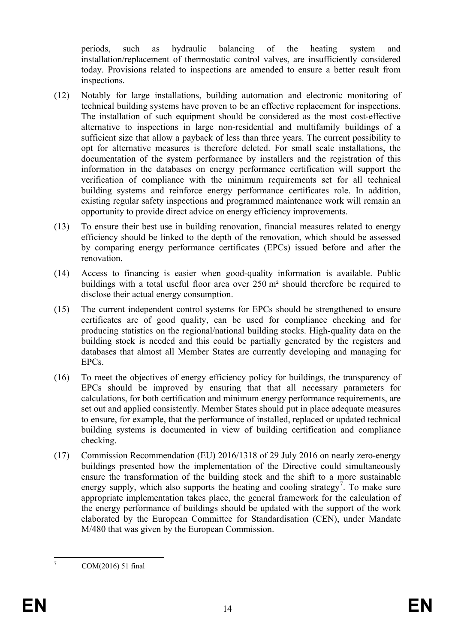periods, such as hydraulic balancing of the heating system and installation/replacement of thermostatic control valves, are insufficiently considered today. Provisions related to inspections are amended to ensure a better result from inspections.

- (12) Notably for large installations, building automation and electronic monitoring of technical building systems have proven to be an effective replacement for inspections. The installation of such equipment should be considered as the most cost-effective alternative to inspections in large non-residential and multifamily buildings of a sufficient size that allow a payback of less than three years. The current possibility to opt for alternative measures is therefore deleted. For small scale installations, the documentation of the system performance by installers and the registration of this information in the databases on energy performance certification will support the verification of compliance with the minimum requirements set for all technical building systems and reinforce energy performance certificates role. In addition, existing regular safety inspections and programmed maintenance work will remain an opportunity to provide direct advice on energy efficiency improvements.
- (13) To ensure their best use in building renovation, financial measures related to energy efficiency should be linked to the depth of the renovation, which should be assessed by comparing energy performance certificates (EPCs) issued before and after the renovation.
- (14) Access to financing is easier when good-quality information is available. Public buildings with a total useful floor area over 250 m² should therefore be required to disclose their actual energy consumption.
- (15) The current independent control systems for EPCs should be strengthened to ensure certificates are of good quality, can be used for compliance checking and for producing statistics on the regional/national building stocks. High-quality data on the building stock is needed and this could be partially generated by the registers and databases that almost all Member States are currently developing and managing for EPCs.
- (16) To meet the objectives of energy efficiency policy for buildings, the transparency of EPCs should be improved by ensuring that that all necessary parameters for calculations, for both certification and minimum energy performance requirements, are set out and applied consistently. Member States should put in place adequate measures to ensure, for example, that the performance of installed, replaced or updated technical building systems is documented in view of building certification and compliance checking.
- (17) Commission Recommendation (EU) 2016/1318 of 29 July 2016 on nearly zero-energy buildings presented how the implementation of the Directive could simultaneously ensure the transformation of the building stock and the shift to a more sustainable energy supply, which also supports the heating and cooling strategy<sup>[7](#page-14-0)</sup>. To make sure appropriate implementation takes place, the general framework for the calculation of the energy performance of buildings should be updated with the support of the work elaborated by the European Committee for Standardisation (CEN), under Mandate M/480 that was given by the European Commission.

<span id="page-14-0"></span> $7 \text{ COM}(2016) 51 \text{ final}$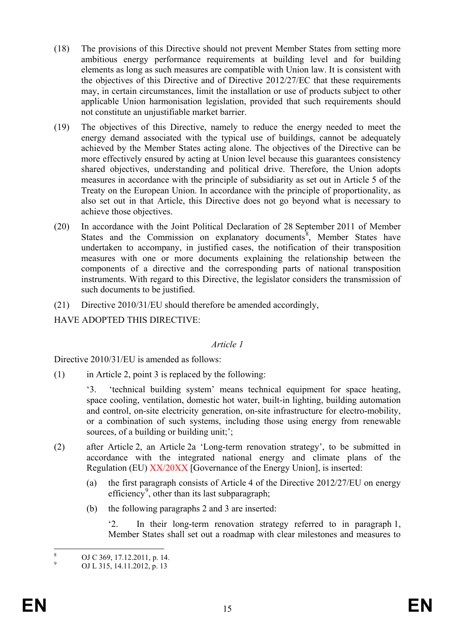- (18) The provisions of this Directive should not prevent Member States from setting more ambitious energy performance requirements at building level and for building elements as long as such measures are compatible with Union law. It is consistent with the objectives of this Directive and of Directive 2012/27/EC that these requirements may, in certain circumstances, limit the installation or use of products subject to other applicable Union harmonisation legislation, provided that such requirements should not constitute an unjustifiable market barrier.
- (19) The objectives of this Directive, namely to reduce the energy needed to meet the energy demand associated with the typical use of buildings, cannot be adequately achieved by the Member States acting alone. The objectives of the Directive can be more effectively ensured by acting at Union level because this guarantees consistency shared objectives, understanding and political drive. Therefore, the Union adopts measures in accordance with the principle of subsidiarity as set out in Article 5 of the Treaty on the European Union. In accordance with the principle of proportionality, as also set out in that Article, this Directive does not go beyond what is necessary to achieve those objectives.
- (20) In accordance with the Joint Political Declaration of 28 September 2011 of Member States and the Commission on explanatory documents<sup>[8](#page-15-0)</sup>, Member States have undertaken to accompany, in justified cases, the notification of their transposition measures with one or more documents explaining the relationship between the components of a directive and the corresponding parts of national transposition instruments. With regard to this Directive, the legislator considers the transmission of such documents to be justified.
- (21) Directive 2010/31/EU should therefore be amended accordingly,

HAVE ADOPTED THIS DIRECTIVE:

#### *Article 1*

Directive 2010/31/EU is amended as follows:

(1) in Article 2, point 3 is replaced by the following:

'3. 'technical building system' means technical equipment for space heating, space cooling, ventilation, domestic hot water, built-in lighting, building automation and control, on-site electricity generation, on-site infrastructure for electro-mobility, or a combination of such systems, including those using energy from renewable sources, of a building or building unit;':

- (2) after Article 2, an Article 2a 'Long-term renovation strategy', to be submitted in accordance with the integrated national energy and climate plans of the Regulation (EU) XX/20XX [Governance of the Energy Union], is inserted:
	- (a) the first paragraph consists of Article 4 of the Directive 2012/27/EU on energy efficiency<sup>[9](#page-15-1)</sup>, other than its last subparagraph;
	- (b) the following paragraphs 2 and 3 are inserted:

'2. In their long-term renovation strategy referred to in paragraph 1, Member States shall set out a roadmap with clear milestones and measures to

<span id="page-15-0"></span> $\begin{array}{ll}\n\text{8} \\
\text{9} \\
\text{OJ C 369, 17.12.2011, p. 14.} \\
\text{OJ L 315, 14.11.2012, p. 13}\n\end{array}$ 

<span id="page-15-1"></span>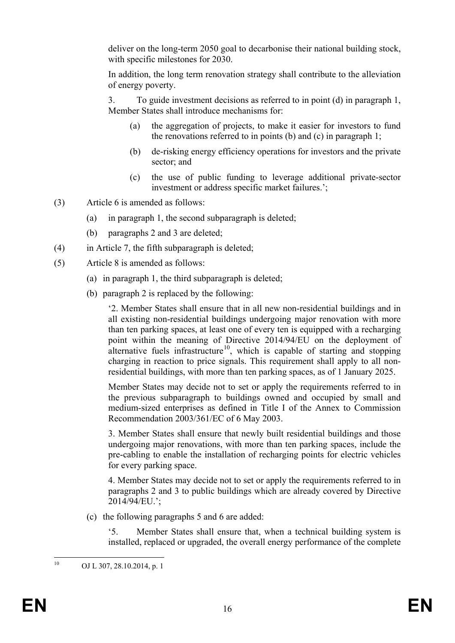deliver on the long-term 2050 goal to decarbonise their national building stock, with specific milestones for 2030.

In addition, the long term renovation strategy shall contribute to the alleviation of energy poverty.

3. To guide investment decisions as referred to in point (d) in paragraph 1, Member States shall introduce mechanisms for:

- (a) the aggregation of projects, to make it easier for investors to fund the renovations referred to in points (b) and (c) in paragraph 1;
- (b) de-risking energy efficiency operations for investors and the private sector; and
- (c) the use of public funding to leverage additional private-sector investment or address specific market failures.';
- (3) Article 6 is amended as follows:
	- (a) in paragraph 1, the second subparagraph is deleted;
	- (b) paragraphs 2 and 3 are deleted;
- (4) in Article 7, the fifth subparagraph is deleted;
- (5) Article 8 is amended as follows:
	- (a) in paragraph 1, the third subparagraph is deleted;
	- (b) paragraph 2 is replaced by the following:

'2. Member States shall ensure that in all new non-residential buildings and in all existing non-residential buildings undergoing major renovation with more than ten parking spaces, at least one of every ten is equipped with a recharging point within the meaning of Directive 2014/94/EU on the deployment of alternative fuels infrastructure<sup>10</sup>, which is capable of starting and stopping charging in reaction to price signals. This requirement shall apply to all nonresidential buildings, with more than ten parking spaces, as of 1 January 2025.

Member States may decide not to set or apply the requirements referred to in the previous subparagraph to buildings owned and occupied by small and medium-sized enterprises as defined in Title I of the Annex to Commission Recommendation 2003/361/EC of 6 May 2003.

3. Member States shall ensure that newly built residential buildings and those undergoing major renovations, with more than ten parking spaces, include the pre-cabling to enable the installation of recharging points for electric vehicles for every parking space.

4. Member States may decide not to set or apply the requirements referred to in paragraphs 2 and 3 to public buildings which are already covered by Directive 2014/94/EU.';

(c) the following paragraphs 5 and 6 are added:

'5. Member States shall ensure that, when a technical building system is installed, replaced or upgraded, the overall energy performance of the complete

<span id="page-16-0"></span><sup>&</sup>lt;sup>10</sup> OJ L 307, 28, 10, 2014, p. 1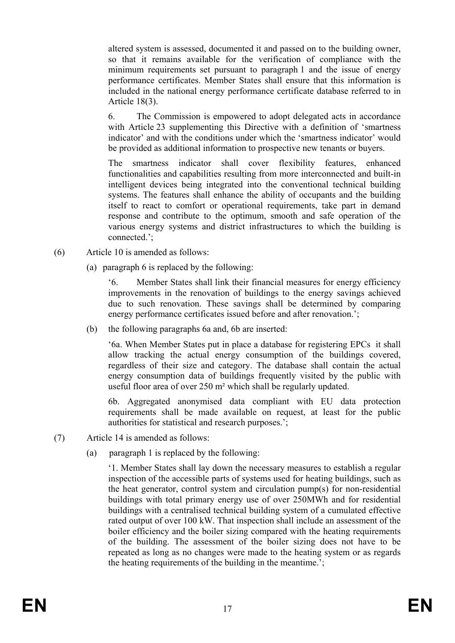altered system is assessed, documented it and passed on to the building owner, so that it remains available for the verification of compliance with the minimum requirements set pursuant to paragraph 1 and the issue of energy performance certificates. Member States shall ensure that this information is included in the national energy performance certificate database referred to in Article 18(3).

6. The Commission is empowered to adopt delegated acts in accordance with Article 23 supplementing this Directive with a definition of 'smartness' indicator' and with the conditions under which the 'smartness indicator' would be provided as additional information to prospective new tenants or buyers.

The smartness indicator shall cover flexibility features, enhanced functionalities and capabilities resulting from more interconnected and built-in intelligent devices being integrated into the conventional technical building systems. The features shall enhance the ability of occupants and the building itself to react to comfort or operational requirements, take part in demand response and contribute to the optimum, smooth and safe operation of the various energy systems and district infrastructures to which the building is connected.';

- (6) Article 10 is amended as follows:
	- (a) paragraph 6 is replaced by the following:

'6. Member States shall link their financial measures for energy efficiency improvements in the renovation of buildings to the energy savings achieved due to such renovation. These savings shall be determined by comparing energy performance certificates issued before and after renovation.';

(b) the following paragraphs 6a and, 6b are inserted:

'6a. When Member States put in place a database for registering EPCs it shall allow tracking the actual energy consumption of the buildings covered, regardless of their size and category. The database shall contain the actual energy consumption data of buildings frequently visited by the public with useful floor area of over 250 m² which shall be regularly updated.

6b. Aggregated anonymised data compliant with EU data protection requirements shall be made available on request, at least for the public authorities for statistical and research purposes.';

- (7) Article 14 is amended as follows:
	- (a) paragraph 1 is replaced by the following:

'1. Member States shall lay down the necessary measures to establish a regular inspection of the accessible parts of systems used for heating buildings, such as the heat generator, control system and circulation pump(s) for non-residential buildings with total primary energy use of over 250MWh and for residential buildings with a centralised technical building system of a cumulated effective rated output of over 100 kW. That inspection shall include an assessment of the boiler efficiency and the boiler sizing compared with the heating requirements of the building. The assessment of the boiler sizing does not have to be repeated as long as no changes were made to the heating system or as regards the heating requirements of the building in the meantime.';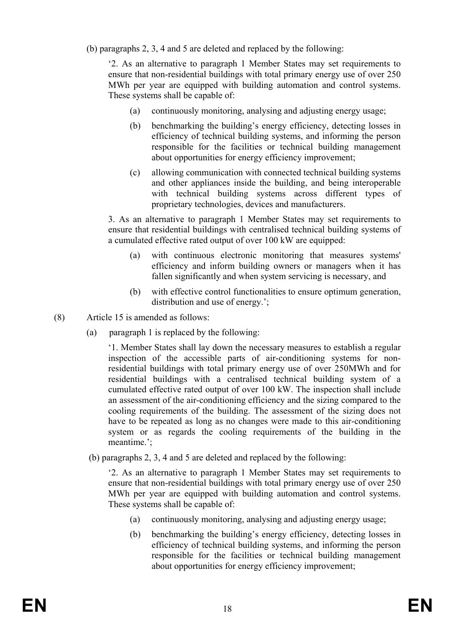(b) paragraphs 2, 3, 4 and 5 are deleted and replaced by the following:

'2. As an alternative to paragraph 1 Member States may set requirements to ensure that non-residential buildings with total primary energy use of over 250 MWh per year are equipped with building automation and control systems. These systems shall be capable of:

- (a) continuously monitoring, analysing and adjusting energy usage;
- (b) benchmarking the building's energy efficiency, detecting losses in efficiency of technical building systems, and informing the person responsible for the facilities or technical building management about opportunities for energy efficiency improvement;
- (c) allowing communication with connected technical building systems and other appliances inside the building, and being interoperable with technical building systems across different types of proprietary technologies, devices and manufacturers.

3. As an alternative to paragraph 1 Member States may set requirements to ensure that residential buildings with centralised technical building systems of a cumulated effective rated output of over 100 kW are equipped:

- (a) with continuous electronic monitoring that measures systems' efficiency and inform building owners or managers when it has fallen significantly and when system servicing is necessary, and
- (b) with effective control functionalities to ensure optimum generation, distribution and use of energy.';
- (8) Article 15 is amended as follows:
	- (a) paragraph 1 is replaced by the following:

'1. Member States shall lay down the necessary measures to establish a regular inspection of the accessible parts of air-conditioning systems for nonresidential buildings with total primary energy use of over 250MWh and for residential buildings with a centralised technical building system of a cumulated effective rated output of over 100 kW. The inspection shall include an assessment of the air-conditioning efficiency and the sizing compared to the cooling requirements of the building. The assessment of the sizing does not have to be repeated as long as no changes were made to this air-conditioning system or as regards the cooling requirements of the building in the meantime.';

(b) paragraphs 2, 3, 4 and 5 are deleted and replaced by the following:

'2. As an alternative to paragraph 1 Member States may set requirements to ensure that non-residential buildings with total primary energy use of over 250 MWh per year are equipped with building automation and control systems. These systems shall be capable of:

- (a) continuously monitoring, analysing and adjusting energy usage;
- (b) benchmarking the building's energy efficiency, detecting losses in efficiency of technical building systems, and informing the person responsible for the facilities or technical building management about opportunities for energy efficiency improvement;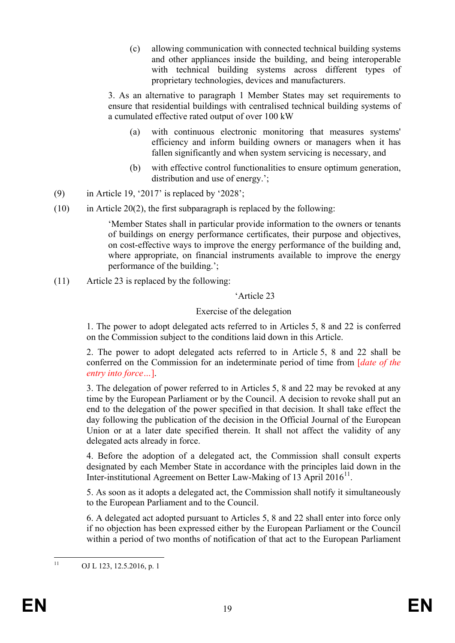(c) allowing communication with connected technical building systems and other appliances inside the building, and being interoperable with technical building systems across different types of proprietary technologies, devices and manufacturers.

3. As an alternative to paragraph 1 Member States may set requirements to ensure that residential buildings with centralised technical building systems of a cumulated effective rated output of over 100 kW

- (a) with continuous electronic monitoring that measures systems' efficiency and inform building owners or managers when it has fallen significantly and when system servicing is necessary, and
- (b) with effective control functionalities to ensure optimum generation, distribution and use of energy.';
- (9) in Article 19, '2017' is replaced by '2028';
- $(10)$  in Article 20(2), the first subparagraph is replaced by the following:

'Member States shall in particular provide information to the owners or tenants of buildings on energy performance certificates, their purpose and objectives, on cost-effective ways to improve the energy performance of the building and, where appropriate, on financial instruments available to improve the energy performance of the building.';

(11) Article 23 is replaced by the following:

### 'Article 23

### Exercise of the delegation

1. The power to adopt delegated acts referred to in Articles 5, 8 and 22 is conferred on the Commission subject to the conditions laid down in this Article.

2. The power to adopt delegated acts referred to in Article 5, 8 and 22 shall be conferred on the Commission for an indeterminate period of time from [*date of the entry into force…*].

3. The delegation of power referred to in Articles 5, 8 and 22 may be revoked at any time by the European Parliament or by the Council. A decision to revoke shall put an end to the delegation of the power specified in that decision. It shall take effect the day following the publication of the decision in the Official Journal of the European Union or at a later date specified therein. It shall not affect the validity of any delegated acts already in force.

4. Before the adoption of a delegated act, the Commission shall consult experts designated by each Member State in accordance with the principles laid down in the Inter-institutional Agreement on Better Law-Making of 13 April 2016<sup>[11](#page-19-0)</sup>.

5. As soon as it adopts a delegated act, the Commission shall notify it simultaneously to the European Parliament and to the Council.

6. A delegated act adopted pursuant to Articles 5, 8 and 22 shall enter into force only if no objection has been expressed either by the European Parliament or the Council within a period of two months of notification of that act to the European Parliament

<span id="page-19-0"></span> $11$  OJ L 123, 12.5.2016, p. 1